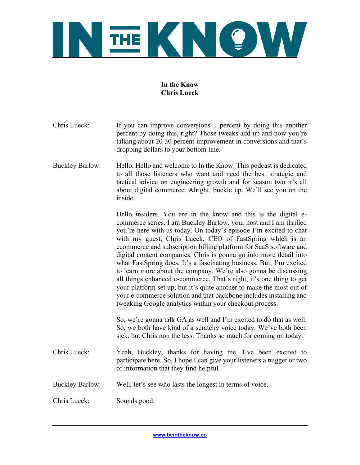

# **In the Know Chris Lueck**

- Chris Lueck: If you can improve conversions 1 percent by doing this another percent by doing this, right? Those tweaks add up and now you're talking about 20 30 percent improvement in conversions and that's dropping dollars to your bottom line.
- Buckley Barlow: Hello, Hello and welcome to In the Know. This podcast is dedicated to all those listeners who want and need the best strategic and tactical advice on engineering growth and for season two it's all about digital commerce. Alright, buckle up. We'll see you on the inside.

Hello insiders. You are in the know and this is the digital ecommerce series. I am Buckley Barlow, your host and I am thrilled you're here with us today. On today's episode I'm excited to chat with my guest, Chris Lueck, CEO of FastSpring which is an ecommerce and subscription billing platform for SaaS software and digital content companies. Chris is gonna go into more detail into what FastSpring does. It's a fascinating business. But, I'm excited to learn more about the company. We're also gonna be discussing all things enhanced e-commerce. That's right, it's one thing to get your platform set up, but it's quite another to make the most out of your e-commerce solution and that backbone includes installing and tweaking Google analytics within your checkout process.

So, we're gonna talk GA as well and I'm excited to do that as well. So, we both have kind of a scratchy voice today. We've both been sick, but Chris non the less. Thanks so much for coming on today.

- Chris Lueck: Yeah, Buckley, thanks for having me. I've been excited to participate here. So, I hope I can give your listeners a nugget or two of information that they find helpful.
- Buckley Barlow: Well, let's see who lasts the longest in terms of voice.

Chris Lueck: Sounds good.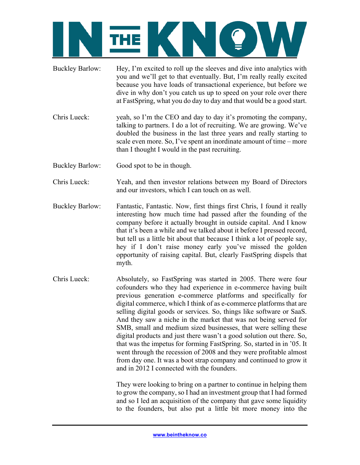- Buckley Barlow: Hey, I'm excited to roll up the sleeves and dive into analytics with you and we'll get to that eventually. But, I'm really really excited because you have loads of transactional experience, but before we dive in why don't you catch us up to speed on your role over there at FastSpring, what you do day to day and that would be a good start.
- Chris Lueck: yeah, so I'm the CEO and day to day it's promoting the company, talking to partners. I do a lot of recruiting. We are growing. We've doubled the business in the last three years and really starting to scale even more. So, I've spent an inordinate amount of time – more than I thought I would in the past recruiting.
- Buckley Barlow: Good spot to be in though.
- Chris Lueck: Yeah, and then investor relations between my Board of Directors and our investors, which I can touch on as well.
- Buckley Barlow: Fantastic, Fantastic. Now, first things first Chris, I found it really interesting how much time had passed after the founding of the company before it actually brought in outside capital. And I know that it's been a while and we talked about it before I pressed record, but tell us a little bit about that because I think a lot of people say, hey if I don't raise money early you've missed the golden opportunity of raising capital. But, clearly FastSpring dispels that myth.
- Chris Lueck: Absolutely, so FastSpring was started in 2005. There were four cofounders who they had experience in e-commerce having built previous generation e-commerce platforms and specifically for digital commerce, which I think of as e-commerce platforms that are selling digital goods or services. So, things like software or SaaS. And they saw a niche in the market that was not being served for SMB, small and medium sized businesses, that were selling these digital products and just there wasn't a good solution out there. So, that was the impetus for forming FastSpring. So, started in in '05. It went through the recession of 2008 and they were profitable almost from day one. It was a boot strap company and continued to grow it and in 2012 I connected with the founders.

They were looking to bring on a partner to continue in helping them to grow the company, so I had an investment group that I had formed and so I led an acquisition of the company that gave some liquidity to the founders, but also put a little bit more money into the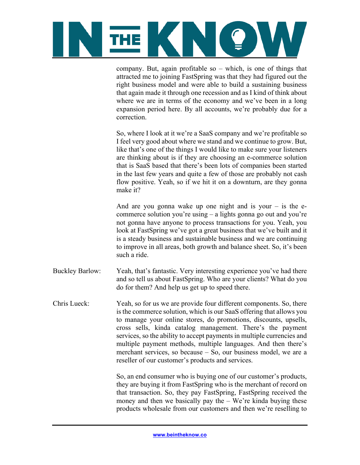

company. But, again profitable so – which, is one of things that attracted me to joining FastSpring was that they had figured out the right business model and were able to build a sustaining business that again made it through one recession and as I kind of think about where we are in terms of the economy and we've been in a long expansion period here. By all accounts, we're probably due for a correction.

So, where I look at it we're a SaaS company and we're profitable so I feel very good about where we stand and we continue to grow. But, like that's one of the things I would like to make sure your listeners are thinking about is if they are choosing an e-commerce solution that is SaaS based that there's been lots of companies been started in the last few years and quite a few of those are probably not cash flow positive. Yeah, so if we hit it on a downturn, are they gonna make it?

And are you gonna wake up one night and is your  $-$  is the ecommerce solution you're using – a lights gonna go out and you're not gonna have anyone to process transactions for you. Yeah, you look at FastSpring we've got a great business that we've built and it is a steady business and sustainable business and we are continuing to improve in all areas, both growth and balance sheet. So, it's been such a ride.

- Buckley Barlow: Yeah, that's fantastic. Very interesting experience you've had there and so tell us about FastSpring. Who are your clients? What do you do for them? And help us get up to speed there.
- Chris Lueck: Yeah, so for us we are provide four different components. So, there is the commerce solution, which is our SaaS offering that allows you to manage your online stores, do promotions, discounts, upsells, cross sells, kinda catalog management. There's the payment services, so the ability to accept payments in multiple currencies and multiple payment methods, multiple languages. And then there's merchant services, so because – So, our business model, we are a reseller of our customer's products and services.

So, an end consumer who is buying one of our customer's products, they are buying it from FastSpring who is the merchant of record on that transaction. So, they pay FastSpring, FastSpring received the money and then we basically pay the  $-$  We're kinda buying these products wholesale from our customers and then we're reselling to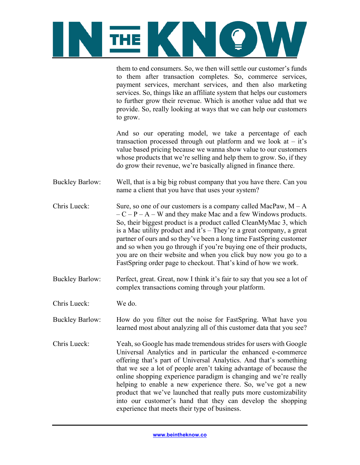

them to end consumers. So, we then will settle our customer's funds to them after transaction completes. So, commerce services, payment services, merchant services, and then also marketing services. So, things like an affiliate system that helps our customers to further grow their revenue. Which is another value add that we provide. So, really looking at ways that we can help our customers to grow.

And so our operating model, we take a percentage of each transaction processed through out platform and we look at  $-$  it's value based pricing because we wanna show value to our customers whose products that we're selling and help them to grow. So, if they do grow their revenue, we're basically aligned in finance there.

- Buckley Barlow: Well, that is a big big robust company that you have there. Can you name a client that you have that uses your system?
- Chris Lueck: Sure, so one of our customers is a company called MacPaw,  $M A$  $-C - P - A - W$  and they make Mac and a few Windows products. So, their biggest product is a product called CleanMyMac 3, which is a Mac utility product and it's – They're a great company, a great partner of ours and so they've been a long time FastSpring customer and so when you go through if you're buying one of their products, you are on their website and when you click buy now you go to a FastSpring order page to checkout. That's kind of how we work.
- Buckley Barlow: Perfect, great. Great, now I think it's fair to say that you see a lot of complex transactions coming through your platform.
- Chris Lueck: We do.

Buckley Barlow: How do you filter out the noise for FastSpring. What have you learned most about analyzing all of this customer data that you see?

Chris Lueck: Yeah, so Google has made tremendous strides for users with Google Universal Analytics and in particular the enhanced e-commerce offering that's part of Universal Analytics. And that's something that we see a lot of people aren't taking advantage of because the online shopping experience paradigm is changing and we're really helping to enable a new experience there. So, we've got a new product that we've launched that really puts more customizability into our customer's hand that they can develop the shopping experience that meets their type of business.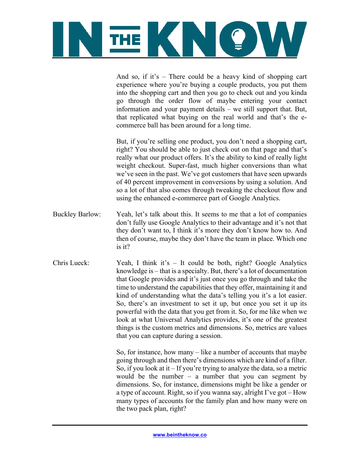

And so, if it's – There could be a heavy kind of shopping cart experience where you're buying a couple products, you put them into the shopping cart and then you go to check out and you kinda go through the order flow of maybe entering your contact information and your payment details – we still support that. But, that replicated what buying on the real world and that's the ecommerce ball has been around for a long time.

But, if you're selling one product, you don't need a shopping cart, right? You should be able to just check out on that page and that's really what our product offers. It's the ability to kind of really light weight checkout. Super-fast, much higher conversions than what we've seen in the past. We've got customers that have seen upwards of 40 percent improvement in conversions by using a solution. And so a lot of that also comes through tweaking the checkout flow and using the enhanced e-commerce part of Google Analytics.

- Buckley Barlow: Yeah, let's talk about this. It seems to me that a lot of companies don't fully use Google Analytics to their advantage and it's not that they don't want to, I think it's more they don't know how to. And then of course, maybe they don't have the team in place. Which one is it?
- Chris Lueck: Yeah, I think it's  $-$  It could be both, right? Google Analytics knowledge is – that is a specialty. But, there's a lot of documentation that Google provides and it's just once you go through and take the time to understand the capabilities that they offer, maintaining it and kind of understanding what the data's telling you it's a lot easier. So, there's an investment to set it up, but once you set it up its powerful with the data that you get from it. So, for me like when we look at what Universal Analytics provides, it's one of the greatest things is the custom metrics and dimensions. So, metrics are values that you can capture during a session.

So, for instance, how many – like a number of accounts that maybe going through and then there's dimensions which are kind of a filter. So, if you look at it – If you're trying to analyze the data, so a metric would be the number – a number that you can segment by dimensions. So, for instance, dimensions might be like a gender or a type of account. Right, so if you wanna say, alright I've got – How many types of accounts for the family plan and how many were on the two pack plan, right?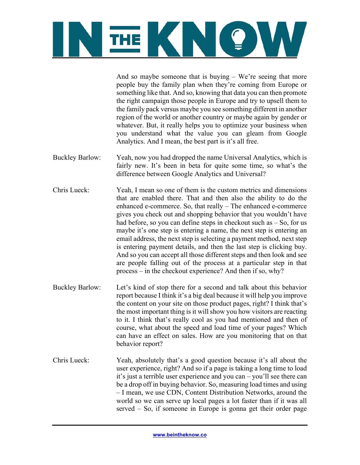

And so maybe someone that is buying – We're seeing that more people buy the family plan when they're coming from Europe or something like that. And so, knowing that data you can then promote the right campaign those people in Europe and try to upsell them to the family pack versus maybe you see something different in another region of the world or another country or maybe again by gender or whatever. But, it really helps you to optimize your business when you understand what the value you can gleam from Google Analytics. And I mean, the best part is it's all free.

- Buckley Barlow: Yeah, now you had dropped the name Universal Analytics, which is fairly new. It's been in beta for quite some time, so what's the difference between Google Analytics and Universal?
- Chris Lueck: Yeah, I mean so one of them is the custom metrics and dimensions that are enabled there. That and then also the ability to do the enhanced e-commerce. So, that really – The enhanced e-commerce gives you check out and shopping behavior that you wouldn't have had before, so you can define steps in checkout such as  $-$  So, for us maybe it's one step is entering a name, the next step is entering an email address, the next step is selecting a payment method, next step is entering payment details, and then the last step is clicking buy. And so you can accept all those different steps and then look and see are people falling out of the process at a particular step in that process – in the checkout experience? And then if so, why?
- Buckley Barlow: Let's kind of stop there for a second and talk about this behavior report because I think it's a big deal because it will help you improve the content on your site on those product pages, right? I think that's the most important thing is it will show you how visitors are reacting to it. I think that's really cool as you had mentioned and then of course, what about the speed and load time of your pages? Which can have an effect on sales. How are you monitoring that on that behavior report?
- Chris Lueck: Yeah, absolutely that's a good question because it's all about the user experience, right? And so if a page is taking a long time to load it's just a terrible user experience and you can – you'll see there can be a drop off in buying behavior. So, measuring load times and using – I mean, we use CDN, Content Distribution Networks, around the world so we can serve up local pages a lot faster than if it was all served – So, if someone in Europe is gonna get their order page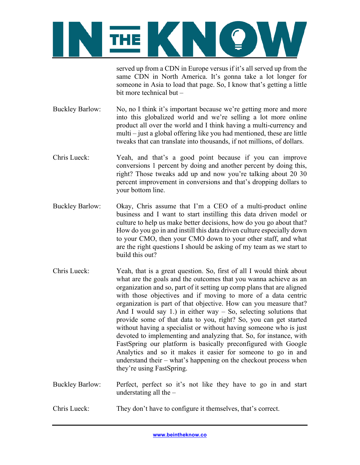

served up from a CDN in Europe versus if it's all served up from the same CDN in North America. It's gonna take a lot longer for someone in Asia to load that page. So, I know that's getting a little bit more technical but –

- Buckley Barlow: No, no I think it's important because we're getting more and more into this globalized world and we're selling a lot more online product all over the world and I think having a multi-currency and multi – just a global offering like you had mentioned, these are little tweaks that can translate into thousands, if not millions, of dollars.
- Chris Lueck: Yeah, and that's a good point because if you can improve conversions 1 percent by doing and another percent by doing this, right? Those tweaks add up and now you're talking about 20 30 percent improvement in conversions and that's dropping dollars to your bottom line.
- Buckley Barlow: Okay, Chris assume that I'm a CEO of a multi-product online business and I want to start instilling this data driven model or culture to help us make better decisions, how do you go about that? How do you go in and instill this data driven culture especially down to your CMO, then your CMO down to your other staff, and what are the right questions I should be asking of my team as we start to build this out?
- Chris Lueck: Yeah, that is a great question. So, first of all I would think about what are the goals and the outcomes that you wanna achieve as an organization and so, part of it setting up comp plans that are aligned with those objectives and if moving to more of a data centric organization is part of that objective. How can you measure that? And I would say 1.) in either way  $-$  So, selecting solutions that provide some of that data to you, right? So, you can get started without having a specialist or without having someone who is just devoted to implementing and analyzing that. So, for instance, with FastSpring our platform is basically preconfigured with Google Analytics and so it makes it easier for someone to go in and understand their – what's happening on the checkout process when they're using FastSpring.
- Buckley Barlow: Perfect, perfect so it's not like they have to go in and start understating all the  $-$
- Chris Lueck: They don't have to configure it themselves, that's correct.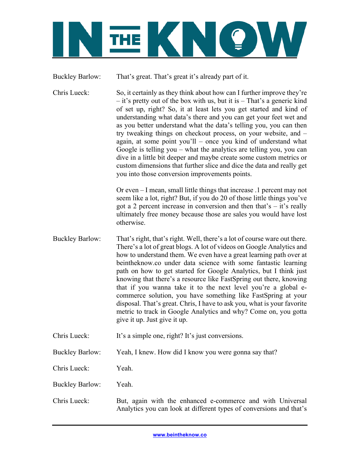

Buckley Barlow: That's great. That's great it's already part of it.

Chris Lueck: So, it certainly as they think about how can I further improve they're – it's pretty out of the box with us, but it is – That's a generic kind of set up, right? So, it at least lets you get started and kind of understanding what data's there and you can get your feet wet and as you better understand what the data's telling you, you can then try tweaking things on checkout process, on your website, and – again, at some point you'll – once you kind of understand what Google is telling you – what the analytics are telling you, you can dive in a little bit deeper and maybe create some custom metrics or custom dimensions that further slice and dice the data and really get you into those conversion improvements points.

> Or even – I mean, small little things that increase .1 percent may not seem like a lot, right? But, if you do 20 of those little things you've got a 2 percent increase in conversion and then that's – it's really ultimately free money because those are sales you would have lost otherwise.

- Buckley Barlow: That's right, that's right. Well, there's a lot of course ware out there. There's a lot of great blogs. A lot of videos on Google Analytics and how to understand them. We even have a great learning path over at beintheknow.co under data science with some fantastic learning path on how to get started for Google Analytics, but I think just knowing that there's a resource like FastSpring out there, knowing that if you wanna take it to the next level you're a global ecommerce solution, you have something like FastSpring at your disposal. That's great. Chris, I have to ask you, what is your favorite metric to track in Google Analytics and why? Come on, you gotta give it up. Just give it up.
- Chris Lueck: It's a simple one, right? It's just conversions.
- Buckley Barlow: Yeah, I knew. How did I know you were gonna say that?

Chris Lueck: Yeah.

Buckley Barlow: Yeah.

Chris Lueck: But, again with the enhanced e-commerce and with Universal Analytics you can look at different types of conversions and that's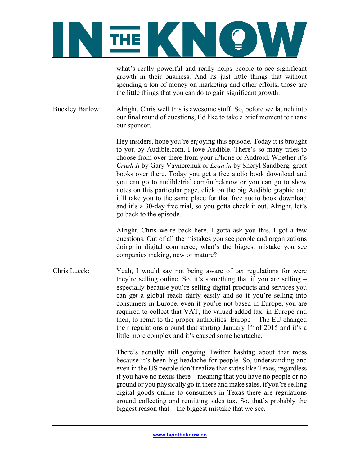

what's really powerful and really helps people to see significant growth in their business. And its just little things that without spending a ton of money on marketing and other efforts, those are the little things that you can do to gain significant growth.

Buckley Barlow: Alright, Chris well this is awesome stuff. So, before we launch into our final round of questions, I'd like to take a brief moment to thank our sponsor.

> Hey insiders, hope you're enjoying this episode. Today it is brought to you by Audible.com. I love Audible. There's so many titles to choose from over there from your iPhone or Android. Whether it's *Crush It* by Gary Vaynerchuk or *Lean in* by Sheryl Sandberg, great books over there. Today you get a free audio book download and you can go to audibletrial.com/intheknow or you can go to show notes on this particular page, click on the big Audible graphic and it'll take you to the same place for that free audio book download and it's a 30-day free trial, so you gotta check it out. Alright, let's go back to the episode.

> Alright, Chris we're back here. I gotta ask you this. I got a few questions. Out of all the mistakes you see people and organizations doing in digital commerce, what's the biggest mistake you see companies making, new or mature?

Chris Lueck: Yeah, I would say not being aware of tax regulations for were they're selling online. So, it's something that if you are selling – especially because you're selling digital products and services you can get a global reach fairly easily and so if you're selling into consumers in Europe, even if you're not based in Europe, you are required to collect that VAT, the valued added tax, in Europe and then, to remit to the proper authorities. Europe – The EU changed their regulations around that starting January  $1<sup>st</sup>$  of 2015 and it's a little more complex and it's caused some heartache.

> There's actually still ongoing Twitter hashtag about that mess because it's been big headache for people. So, understanding and even in the US people don't realize that states like Texas, regardless if you have no nexus there – meaning that you have no people or no ground or you physically go in there and make sales, if you're selling digital goods online to consumers in Texas there are regulations around collecting and remitting sales tax. So, that's probably the biggest reason that – the biggest mistake that we see.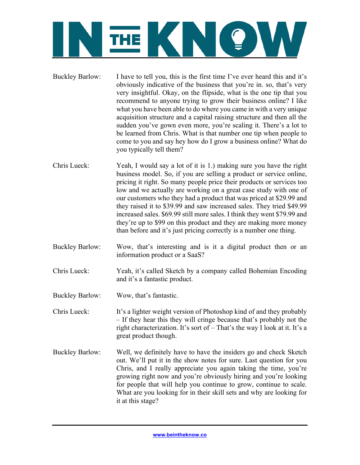

- Buckley Barlow: I have to tell you, this is the first time I've ever heard this and it's obviously indicative of the business that you're in. so, that's very very insightful. Okay, on the flipside, what is the one tip that you recommend to anyone trying to grow their business online? I like what you have been able to do where you came in with a very unique acquisition structure and a capital raising structure and then all the sudden you've gown even more, you're scaling it. There's a lot to be learned from Chris. What is that number one tip when people to come to you and say hey how do I grow a business online? What do you typically tell them?
- Chris Lueck: Yeah, I would say a lot of it is 1.) making sure you have the right business model. So, if you are selling a product or service online, pricing it right. So many people price their products or services too low and we actually are working on a great case study with one of our customers who they had a product that was priced at \$29.99 and they raised it to \$39.99 and saw increased sales. They tried \$49.99 increased sales. \$69.99 still more sales. I think they went \$79.99 and they're up to \$99 on this product and they are making more money than before and it's just pricing correctly is a number one thing.
- Buckley Barlow: Wow, that's interesting and is it a digital product then or an information product or a SaaS?
- Chris Lueck: Yeah, it's called Sketch by a company called Bohemian Encoding and it's a fantastic product.
- Buckley Barlow: Wow, that's fantastic.
- Chris Lueck: It's a lighter weight version of Photoshop kind of and they probably – If they hear this they will cringe because that's probably not the right characterization. It's sort of – That's the way I look at it. It's a great product though.
- Buckley Barlow: Well, we definitely have to have the insiders go and check Sketch out. We'll put it in the show notes for sure. Last question for you Chris, and I really appreciate you again taking the time, you're growing right now and you're obviously hiring and you're looking for people that will help you continue to grow, continue to scale. What are you looking for in their skill sets and why are looking for it at this stage?